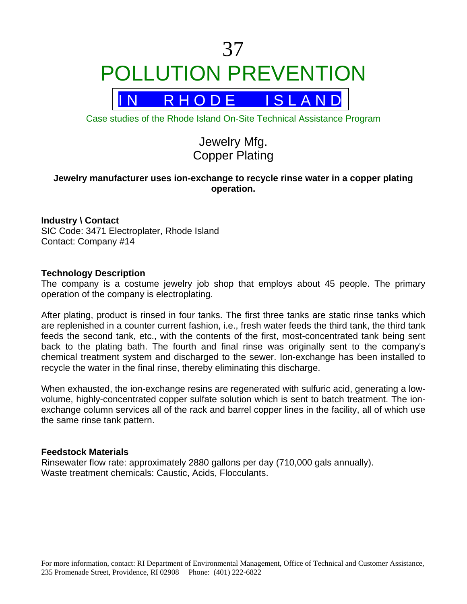# 37 POLLUTION PREVENTION



Case studies of the Rhode Island On-Site Technical Assistance Program

## Jewelry Mfg. Copper Plating

### **Jewelry manufacturer uses ion-exchange to recycle rinse water in a copper plating operation.**

#### **Industry \ Contact**

SIC Code: 3471 Electroplater, Rhode Island Contact: Company #14

#### **Technology Description**

The company is a costume jewelry job shop that employs about 45 people. The primary operation of the company is electroplating.

After plating, product is rinsed in four tanks. The first three tanks are static rinse tanks which are replenished in a counter current fashion, i.e., fresh water feeds the third tank, the third tank feeds the second tank, etc., with the contents of the first, most-concentrated tank being sent back to the plating bath. The fourth and final rinse was originally sent to the company's chemical treatment system and discharged to the sewer. Ion-exchange has been installed to recycle the water in the final rinse, thereby eliminating this discharge.

When exhausted, the ion-exchange resins are regenerated with sulfuric acid, generating a lowvolume, highly-concentrated copper sulfate solution which is sent to batch treatment. The ionexchange column services all of the rack and barrel copper lines in the facility, all of which use the same rinse tank pattern.

#### **Feedstock Materials**

Rinsewater flow rate: approximately 2880 gallons per day (710,000 gals annually). Waste treatment chemicals: Caustic, Acids, Flocculants.